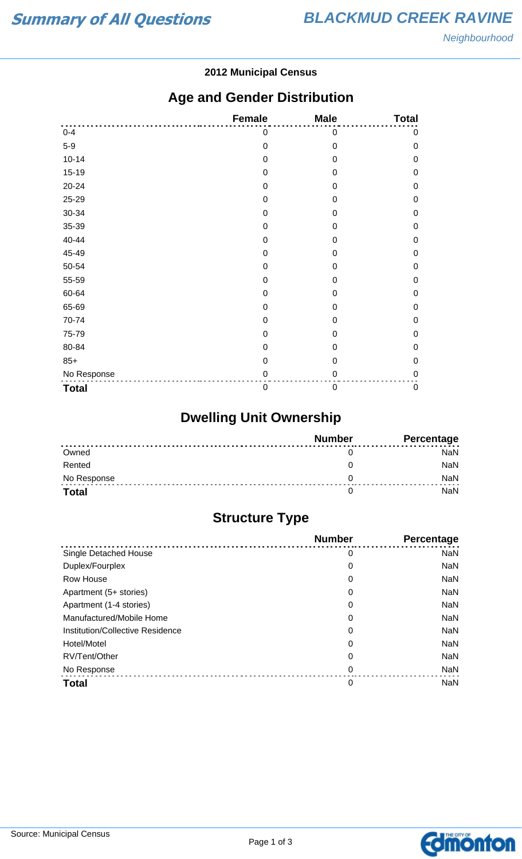#### **2012 Municipal Census**

## **Age and Gender Distribution**

|              | <b>Female</b>    | <b>Male</b>      | <b>Total</b> |
|--------------|------------------|------------------|--------------|
| $0 - 4$      | 0                | 0                | 0            |
| $5-9$        | $\mathbf 0$      | $\mathbf 0$      | $\mathbf 0$  |
| $10 - 14$    | $\mathbf 0$      | $\mathbf 0$      | $\mathbf 0$  |
| $15-19$      | 0                | 0                | $\mathbf 0$  |
| 20-24        | $\mathbf 0$      | $\mathbf 0$      | $\mathbf 0$  |
| 25-29        | 0                | $\boldsymbol{0}$ | $\mathbf 0$  |
| 30-34        | $\mathbf 0$      | $\overline{0}$   | $\mathbf 0$  |
| 35-39        | 0                | 0                | $\mathbf 0$  |
| 40-44        | $\mathbf 0$      | $\Omega$         | $\mathbf 0$  |
| 45-49        | 0                | 0                | $\mathbf 0$  |
| 50-54        | $\mathbf 0$      | 0                | $\mathbf 0$  |
| 55-59        | $\mathbf 0$      | 0                | $\mathbf 0$  |
| 60-64        | $\mathbf 0$      | 0                | $\mathbf 0$  |
| 65-69        | $\boldsymbol{0}$ | $\mathbf 0$      | $\mathbf 0$  |
| 70-74        | $\boldsymbol{0}$ | 0                | $\mathbf 0$  |
| 75-79        | $\mathbf 0$      | 0                | $\mathbf 0$  |
| 80-84        | 0                | 0                | $\mathbf 0$  |
| $85+$        | $\mathbf 0$      | $\mathbf 0$      | $\mathbf 0$  |
| No Response  | 0                | 0                | $\mathbf 0$  |
| <b>Total</b> | $\mathbf 0$      | $\boldsymbol{0}$ | $\pmb{0}$    |

# **Dwelling Unit Ownership**

|              | <b>Number</b> | Percentage |
|--------------|---------------|------------|
| Owned        |               | NaN        |
| Rented       |               | <b>NaN</b> |
| No Response  |               | <b>NaN</b> |
| <b>Total</b> |               | NaN        |

## **Structure Type**

|                                  | <b>Number</b> | <b>Percentage</b> |
|----------------------------------|---------------|-------------------|
| Single Detached House            | 0             | <b>NaN</b>        |
| Duplex/Fourplex                  | 0             | <b>NaN</b>        |
| Row House                        | 0             | <b>NaN</b>        |
| Apartment (5+ stories)           | 0             | <b>NaN</b>        |
| Apartment (1-4 stories)          | 0             | <b>NaN</b>        |
| Manufactured/Mobile Home         | 0             | <b>NaN</b>        |
| Institution/Collective Residence | 0             | <b>NaN</b>        |
| Hotel/Motel                      | 0             | <b>NaN</b>        |
| RV/Tent/Other                    | 0             | <b>NaN</b>        |
| No Response                      | 0             | <b>NaN</b>        |
| <b>Total</b>                     | 0             | <b>NaN</b>        |

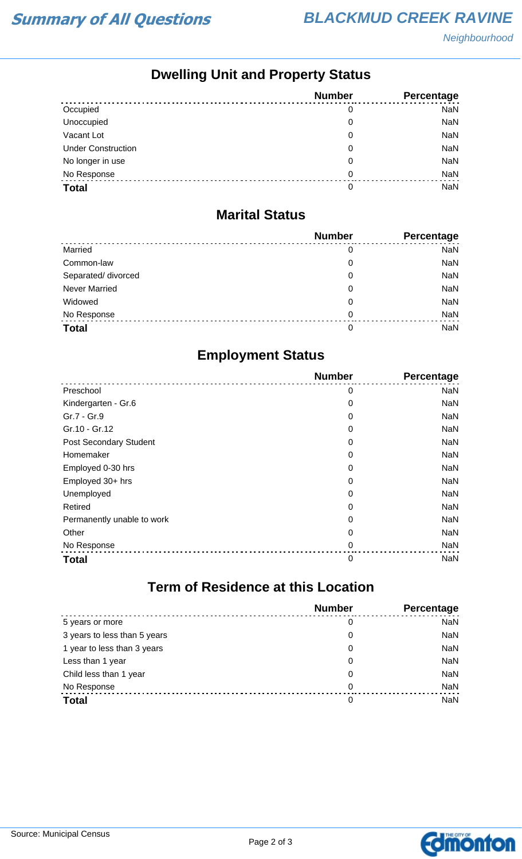## **Dwelling Unit and Property Status**

|                           | <b>Number</b> | Percentage |
|---------------------------|---------------|------------|
| Occupied                  | 0             | <b>NaN</b> |
| Unoccupied                | 0             | NaN        |
| Vacant Lot                | 0             | <b>NaN</b> |
| <b>Under Construction</b> | 0             | <b>NaN</b> |
| No longer in use          | 0             | NaN        |
| No Response               | 0             | NaN        |
| <b>Total</b>              | 0             | <b>NaN</b> |

#### **Marital Status**

|                      | <b>Number</b> | Percentage |
|----------------------|---------------|------------|
| Married              | 0             | <b>NaN</b> |
| Common-law           | 0             | <b>NaN</b> |
| Separated/ divorced  | 0             | <b>NaN</b> |
| <b>Never Married</b> | 0             | <b>NaN</b> |
| Widowed              | 0             | <b>NaN</b> |
| No Response          | $\Omega$      | <b>NaN</b> |
| <b>Total</b>         | 0             | <b>NaN</b> |

## **Employment Status**

|                               | <b>Number</b> | Percentage |
|-------------------------------|---------------|------------|
| Preschool                     | 0             | <b>NaN</b> |
| Kindergarten - Gr.6           | 0             | NaN        |
| Gr.7 - Gr.9                   | 0             | NaN        |
| Gr.10 - Gr.12                 | 0             | NaN        |
| <b>Post Secondary Student</b> | 0             | <b>NaN</b> |
| Homemaker                     | 0             | NaN        |
| Employed 0-30 hrs             | 0             | <b>NaN</b> |
| Employed 30+ hrs              | 0             | NaN        |
| Unemployed                    | 0             | NaN        |
| Retired                       | 0             | NaN        |
| Permanently unable to work    | 0             | <b>NaN</b> |
| Other                         | 0             | NaN        |
| No Response                   | 0             | <b>NaN</b> |
| <b>Total</b>                  | 0             | <b>NaN</b> |

# **Term of Residence at this Location**

|                              | <b>Number</b> | Percentage |
|------------------------------|---------------|------------|
| 5 years or more              | 0             | <b>NaN</b> |
| 3 years to less than 5 years | 0             | <b>NaN</b> |
| 1 year to less than 3 years  | 0             | <b>NaN</b> |
| Less than 1 year             | 0             | <b>NaN</b> |
| Child less than 1 year       | 0             | <b>NaN</b> |
| No Response                  | 0             | <b>NaN</b> |
| <b>Total</b>                 | 0             | <b>NaN</b> |